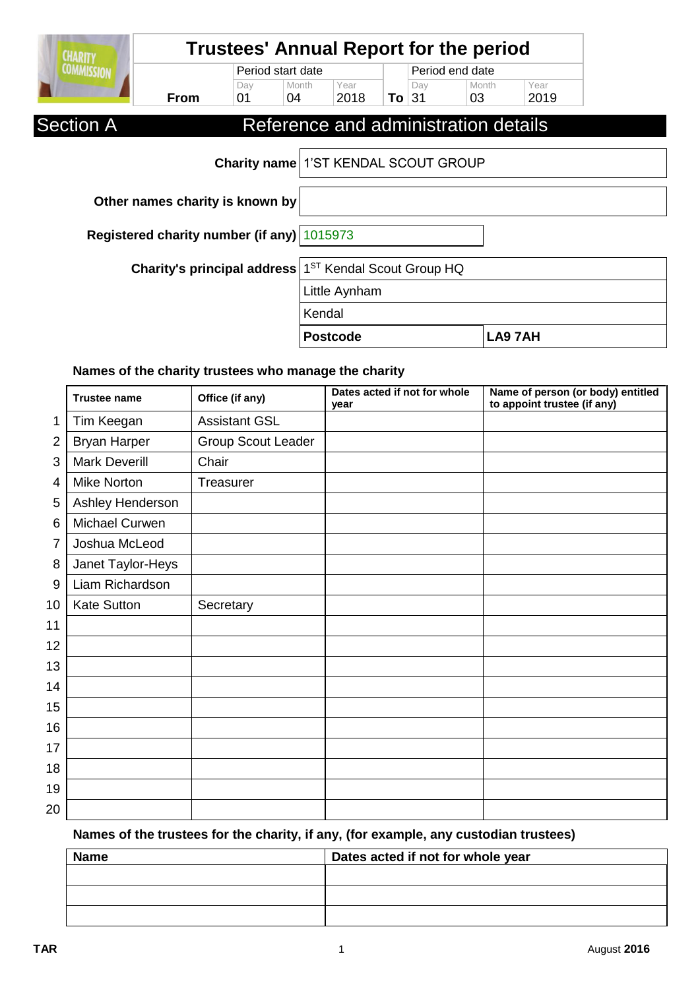| <b>CHARITY</b>    | <b>Trustees' Annual Report for the period</b>                     |                                      |                   |                 |         |                 |                                      |              |  |
|-------------------|-------------------------------------------------------------------|--------------------------------------|-------------------|-----------------|---------|-----------------|--------------------------------------|--------------|--|
| <b>COMMISSION</b> |                                                                   |                                      | Period start date |                 |         | Period end date |                                      |              |  |
|                   | <b>From</b>                                                       | Day<br>01                            | Month<br>04       | Year<br>2018    | To $31$ | Day             | Month<br>03                          | Year<br>2019 |  |
| <b>Section A</b>  |                                                                   |                                      |                   |                 |         |                 | Reference and administration details |              |  |
|                   |                                                                   | Charity name 1'ST KENDAL SCOUT GROUP |                   |                 |         |                 |                                      |              |  |
|                   | Other names charity is known by                                   |                                      |                   |                 |         |                 |                                      |              |  |
|                   | Registered charity number (if any) 1015973                        |                                      |                   |                 |         |                 |                                      |              |  |
|                   | Charity's principal address 1 <sup>ST</sup> Kendal Scout Group HQ |                                      |                   |                 |         |                 |                                      |              |  |
|                   |                                                                   |                                      |                   | Little Aynham   |         |                 |                                      |              |  |
|                   |                                                                   |                                      | Kendal            |                 |         |                 |                                      |              |  |
|                   |                                                                   |                                      |                   | <b>Postcode</b> |         |                 |                                      | LA97AH       |  |

# **Names of the charity trustees who manage the charity**

|                | <b>Trustee name</b>  | Office (if any)      | Dates acted if not for whole<br>year | Name of person (or body) entitled<br>to appoint trustee (if any) |
|----------------|----------------------|----------------------|--------------------------------------|------------------------------------------------------------------|
| 1              | Tim Keegan           | <b>Assistant GSL</b> |                                      |                                                                  |
| $\overline{2}$ | <b>Bryan Harper</b>  | Group Scout Leader   |                                      |                                                                  |
| 3              | <b>Mark Deverill</b> | Chair                |                                      |                                                                  |
| 4              | <b>Mike Norton</b>   | Treasurer            |                                      |                                                                  |
| 5              | Ashley Henderson     |                      |                                      |                                                                  |
| 6              | Michael Curwen       |                      |                                      |                                                                  |
| 7              | Joshua McLeod        |                      |                                      |                                                                  |
| 8              | Janet Taylor-Heys    |                      |                                      |                                                                  |
| 9              | Liam Richardson      |                      |                                      |                                                                  |
| 10             | <b>Kate Sutton</b>   | Secretary            |                                      |                                                                  |
| 11             |                      |                      |                                      |                                                                  |
| 12             |                      |                      |                                      |                                                                  |
| 13             |                      |                      |                                      |                                                                  |
| 14             |                      |                      |                                      |                                                                  |
| 15             |                      |                      |                                      |                                                                  |
| 16             |                      |                      |                                      |                                                                  |
| 17             |                      |                      |                                      |                                                                  |
| 18             |                      |                      |                                      |                                                                  |
| 19             |                      |                      |                                      |                                                                  |
| 20             |                      |                      |                                      |                                                                  |

# **Names of the trustees for the charity, if any, (for example, any custodian trustees)**

| <b>Name</b> | Dates acted if not for whole year |
|-------------|-----------------------------------|
|             |                                   |
|             |                                   |
|             |                                   |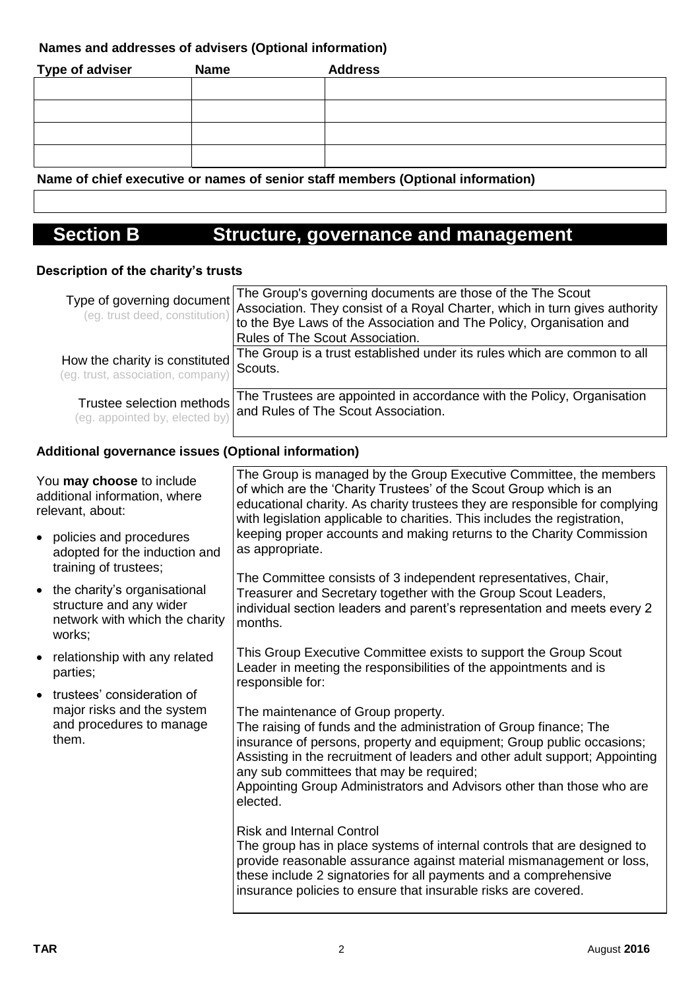### **Names and addresses of advisers (Optional information)**

| <b>Type of adviser</b> | <b>Name</b> | <b>Address</b> |
|------------------------|-------------|----------------|
|                        |             |                |
|                        |             |                |
|                        |             |                |
|                        |             |                |

**Name of chief executive or names of senior staff members (Optional information)**

# **Section B Structure, governance and management**

### **Description of the charity's trusts**

| Type of governing document                                          | The Group's governing documents are those of the The Scout<br>(eg. trust deed, constitution) Association. They consist of a Royal Charter, which in turn gives authority<br>to the Bye Laws of the Association and The Policy, Organisation and<br>Rules of The Scout Association. |
|---------------------------------------------------------------------|------------------------------------------------------------------------------------------------------------------------------------------------------------------------------------------------------------------------------------------------------------------------------------|
| How the charity is constituted<br>(eg. trust, association, company) | The Group is a trust established under its rules which are common to all<br>Scouts.                                                                                                                                                                                                |
| Trustee selection methods                                           | The Trustees are appointed in accordance with the Policy, Organisation<br>(eg. appointed by, elected by) and Rules of The Scout Association.                                                                                                                                       |

### **Additional governance issues (Optional information)**

| You may choose to include<br>additional information, where<br>relevant, about: |                                                                                                     | The Group is managed by the Group Executive Committee, the members<br>of which are the 'Charity Trustees' of the Scout Group which is an<br>educational charity. As charity trustees they are responsible for complying<br>with legislation applicable to charities. This includes the registration,                                                                                             |
|--------------------------------------------------------------------------------|-----------------------------------------------------------------------------------------------------|--------------------------------------------------------------------------------------------------------------------------------------------------------------------------------------------------------------------------------------------------------------------------------------------------------------------------------------------------------------------------------------------------|
|                                                                                | • policies and procedures<br>adopted for the induction and<br>training of trustees;                 | keeping proper accounts and making returns to the Charity Commission<br>as appropriate.                                                                                                                                                                                                                                                                                                          |
| $\bullet$                                                                      | the charity's organisational<br>structure and any wider<br>network with which the charity<br>works; | The Committee consists of 3 independent representatives, Chair,<br>Treasurer and Secretary together with the Group Scout Leaders,<br>individual section leaders and parent's representation and meets every 2<br>months.                                                                                                                                                                         |
| $\bullet$                                                                      | relationship with any related<br>parties;                                                           | This Group Executive Committee exists to support the Group Scout<br>Leader in meeting the responsibilities of the appointments and is<br>responsible for:                                                                                                                                                                                                                                        |
| $\bullet$                                                                      | trustees' consideration of<br>major risks and the system<br>and procedures to manage<br>them.       | The maintenance of Group property.<br>The raising of funds and the administration of Group finance; The<br>insurance of persons, property and equipment; Group public occasions;<br>Assisting in the recruitment of leaders and other adult support; Appointing<br>any sub committees that may be required;<br>Appointing Group Administrators and Advisors other than those who are<br>elected. |
|                                                                                |                                                                                                     | <b>Risk and Internal Control</b><br>The group has in place systems of internal controls that are designed to<br>provide reasonable assurance against material mismanagement or loss,<br>these include 2 signatories for all payments and a comprehensive<br>insurance policies to ensure that insurable risks are covered.                                                                       |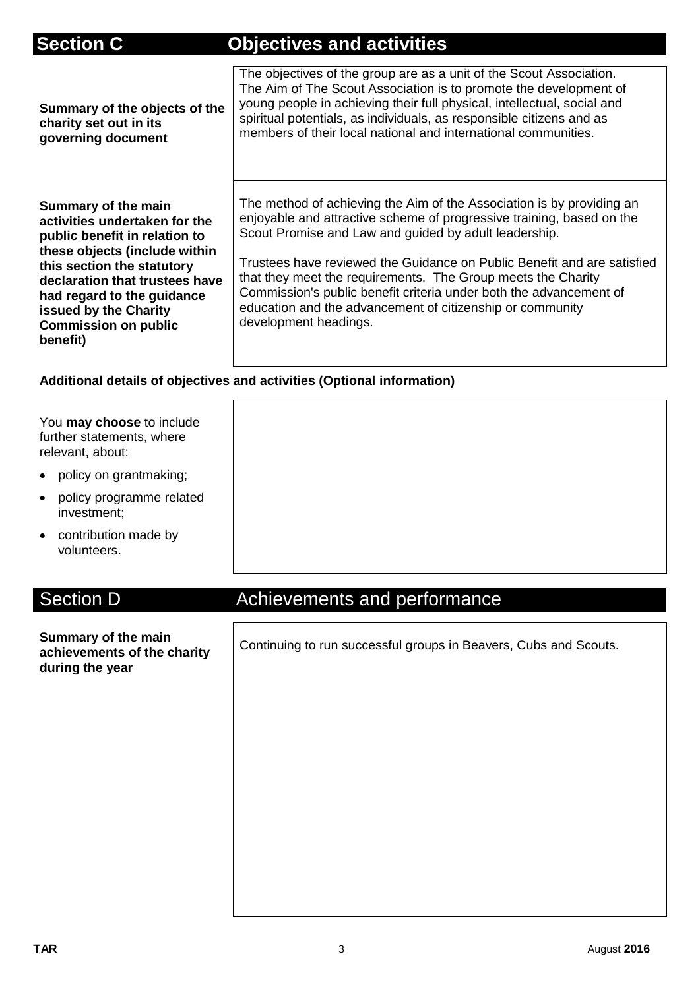# **Section C Objectives and activities**

| Summary of the objects of the<br>charity set out in its<br>governing document                                                                                                                                                                                                            | The objectives of the group are as a unit of the Scout Association.<br>The Aim of The Scout Association is to promote the development of<br>young people in achieving their full physical, intellectual, social and<br>spiritual potentials, as individuals, as responsible citizens and as<br>members of their local national and international communities.                                                                                                                                                  |
|------------------------------------------------------------------------------------------------------------------------------------------------------------------------------------------------------------------------------------------------------------------------------------------|----------------------------------------------------------------------------------------------------------------------------------------------------------------------------------------------------------------------------------------------------------------------------------------------------------------------------------------------------------------------------------------------------------------------------------------------------------------------------------------------------------------|
| Summary of the main<br>activities undertaken for the<br>public benefit in relation to<br>these objects (include within<br>this section the statutory<br>declaration that trustees have<br>had regard to the guidance<br>issued by the Charity<br><b>Commission on public</b><br>benefit) | The method of achieving the Aim of the Association is by providing an<br>enjoyable and attractive scheme of progressive training, based on the<br>Scout Promise and Law and guided by adult leadership.<br>Trustees have reviewed the Guidance on Public Benefit and are satisfied<br>that they meet the requirements. The Group meets the Charity<br>Commission's public benefit criteria under both the advancement of<br>education and the advancement of citizenship or community<br>development headings. |

## **Additional details of objectives and activities (Optional information)**

| You may choose to include<br>further statements, where<br>relevant, about: |
|----------------------------------------------------------------------------|
| policy on grantmaking;                                                     |
| policy programme related<br>investment;                                    |
| contribution made by<br>$\bullet$<br>volunteers.                           |

 $\blacksquare$ 

# Section D **Achievements and performance**

| Summary of the main<br>achievements of the charity<br>during the year | Continuing to run successful groups in Beavers, Cubs and Scouts. |  |  |
|-----------------------------------------------------------------------|------------------------------------------------------------------|--|--|
|                                                                       |                                                                  |  |  |
|                                                                       |                                                                  |  |  |
|                                                                       |                                                                  |  |  |
|                                                                       |                                                                  |  |  |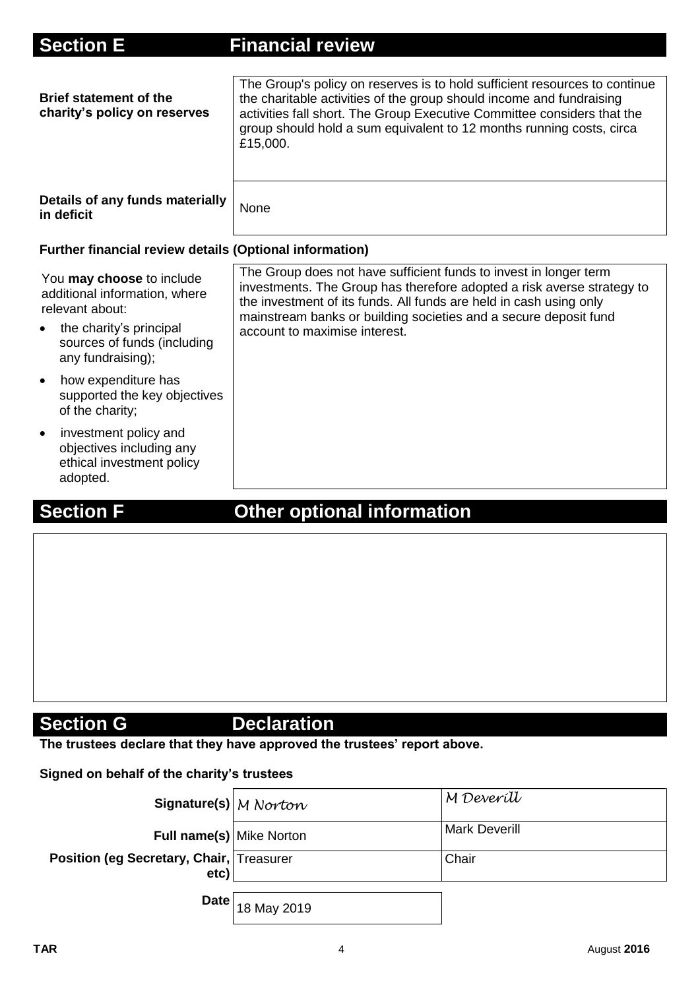| <b>Section E</b>                                                                                                                                             | <b>Financial review</b>                                                                                                                                                                                                                                                                                                |
|--------------------------------------------------------------------------------------------------------------------------------------------------------------|------------------------------------------------------------------------------------------------------------------------------------------------------------------------------------------------------------------------------------------------------------------------------------------------------------------------|
| <b>Brief statement of the</b><br>charity's policy on reserves                                                                                                | The Group's policy on reserves is to hold sufficient resources to continue<br>the charitable activities of the group should income and fundraising<br>activities fall short. The Group Executive Committee considers that the<br>group should hold a sum equivalent to 12 months running costs, circa<br>£15,000.      |
| Details of any funds materially<br>in deficit                                                                                                                | None                                                                                                                                                                                                                                                                                                                   |
| <b>Further financial review details (Optional information)</b>                                                                                               |                                                                                                                                                                                                                                                                                                                        |
| You may choose to include<br>additional information, where<br>relevant about:<br>the charity's principal<br>sources of funds (including<br>any fundraising); | The Group does not have sufficient funds to invest in longer term<br>investments. The Group has therefore adopted a risk averse strategy to<br>the investment of its funds. All funds are held in cash using only<br>mainstream banks or building societies and a secure deposit fund<br>account to maximise interest. |
| how expenditure has<br>$\bullet$<br>supported the key objectives<br>of the charity;                                                                          |                                                                                                                                                                                                                                                                                                                        |
| investment policy and<br>$\bullet$<br>objectives including any<br>ethical investment policy<br>adopted.                                                      |                                                                                                                                                                                                                                                                                                                        |

# **Section F Cther optional information**

# **Section G** Declaration

**The trustees declare that they have approved the trustees' report above.** 

### **Signed on behalf of the charity's trustees**

| Signature(s) M Norton                            |                                    | M Deveríll           |
|--------------------------------------------------|------------------------------------|----------------------|
| <b>Full name(s)</b> Mike Norton                  |                                    | <b>Mark Deverill</b> |
| Position (eg Secretary, Chair, Treasurer<br>etc) |                                    | Chair                |
|                                                  | <b>Date</b> $_{\big  18}$ May 2019 |                      |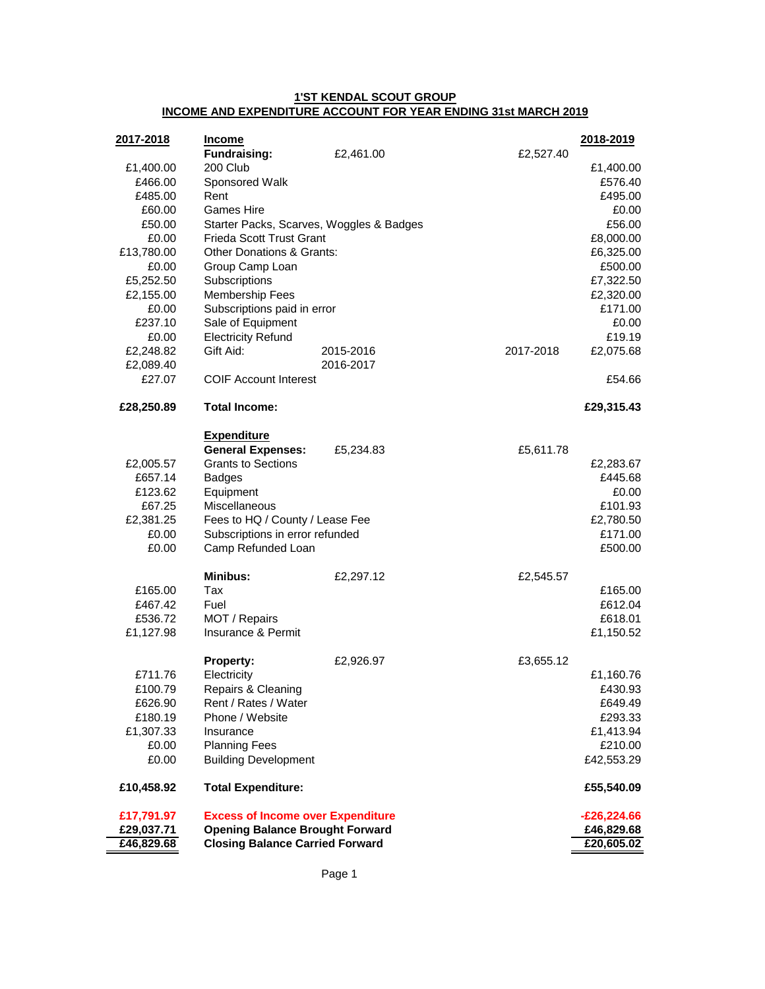### **1'ST KENDAL SCOUT GROUP INCOME AND EXPENDITURE ACCOUNT FOR YEAR ENDING 31st MARCH 2019**

| 2017-2018       | <b>Income</b>                                                               |           |           | 2018-2019              |
|-----------------|-----------------------------------------------------------------------------|-----------|-----------|------------------------|
|                 | <b>Fundraising:</b>                                                         | £2,461.00 | £2,527.40 |                        |
| £1,400.00       | 200 Club                                                                    |           |           | £1,400.00              |
| £466.00         | Sponsored Walk                                                              |           |           | £576.40                |
| £485.00         | Rent                                                                        |           |           | £495.00                |
| £60.00          | Games Hire                                                                  |           |           | £0.00                  |
| £50.00<br>£0.00 | Starter Packs, Scarves, Woggles & Badges<br><b>Frieda Scott Trust Grant</b> |           |           | £56.00                 |
| £13,780.00      | <b>Other Donations &amp; Grants:</b>                                        |           |           | £8,000.00<br>£6,325.00 |
| £0.00           |                                                                             |           |           | £500.00                |
| £5,252.50       | Group Camp Loan<br>Subscriptions                                            |           |           | £7,322.50              |
| £2,155.00       | Membership Fees                                                             |           |           | £2,320.00              |
| £0.00           | Subscriptions paid in error                                                 |           |           | £171.00                |
| £237.10         | Sale of Equipment                                                           |           |           | £0.00                  |
| £0.00           | <b>Electricity Refund</b>                                                   |           |           | £19.19                 |
| £2,248.82       | Gift Aid:                                                                   | 2015-2016 | 2017-2018 | £2,075.68              |
| £2,089.40       |                                                                             | 2016-2017 |           |                        |
| £27.07          | <b>COIF Account Interest</b>                                                |           |           | £54.66                 |
| £28,250.89      | <b>Total Income:</b>                                                        |           |           | £29,315.43             |
|                 | <b>Expenditure</b>                                                          |           |           |                        |
|                 | <b>General Expenses:</b>                                                    | £5,234.83 | £5,611.78 |                        |
| £2,005.57       | <b>Grants to Sections</b>                                                   |           |           | £2,283.67              |
| £657.14         | <b>Badges</b>                                                               |           |           | £445.68                |
| £123.62         | Equipment                                                                   |           |           | £0.00                  |
| £67.25          | Miscellaneous                                                               |           |           | £101.93                |
| £2,381.25       | Fees to HQ / County / Lease Fee                                             |           |           | £2,780.50              |
| £0.00           | Subscriptions in error refunded                                             |           |           | £171.00                |
| £0.00           | Camp Refunded Loan                                                          |           |           | £500.00                |
|                 | <b>Minibus:</b>                                                             | £2,297.12 | £2,545.57 |                        |
| £165.00         | Tax                                                                         |           |           | £165.00                |
| £467.42         | Fuel                                                                        |           |           | £612.04                |
| £536.72         | MOT / Repairs                                                               |           |           | £618.01                |
| £1,127.98       | Insurance & Permit                                                          |           |           | £1,150.52              |
|                 | <b>Property:</b>                                                            | £2,926.97 | £3,655.12 |                        |
| £711.76         | Electricity                                                                 |           |           | £1,160.76              |
| £100.79         | Repairs & Cleaning                                                          |           |           | £430.93                |
| £626.90         | Rent / Rates / Water                                                        |           |           | £649.49                |
| £180.19         | Phone / Website                                                             |           |           | £293.33                |
| £1,307.33       | Insurance                                                                   |           |           | £1,413.94              |
| £0.00           | <b>Planning Fees</b>                                                        |           |           | £210.00                |
| £0.00           | <b>Building Development</b>                                                 |           |           | £42,553.29             |
| £10,458.92      | <b>Total Expenditure:</b>                                                   |           |           | £55,540.09             |
| £17,791.97      | <b>Excess of Income over Expenditure</b>                                    |           |           | $-£26,224.66$          |
| £29,037.71      | <b>Opening Balance Brought Forward</b>                                      |           |           | £46,829.68             |
| £46,829.68      | <b>Closing Balance Carried Forward</b>                                      |           |           | £20,605.02             |

Page 1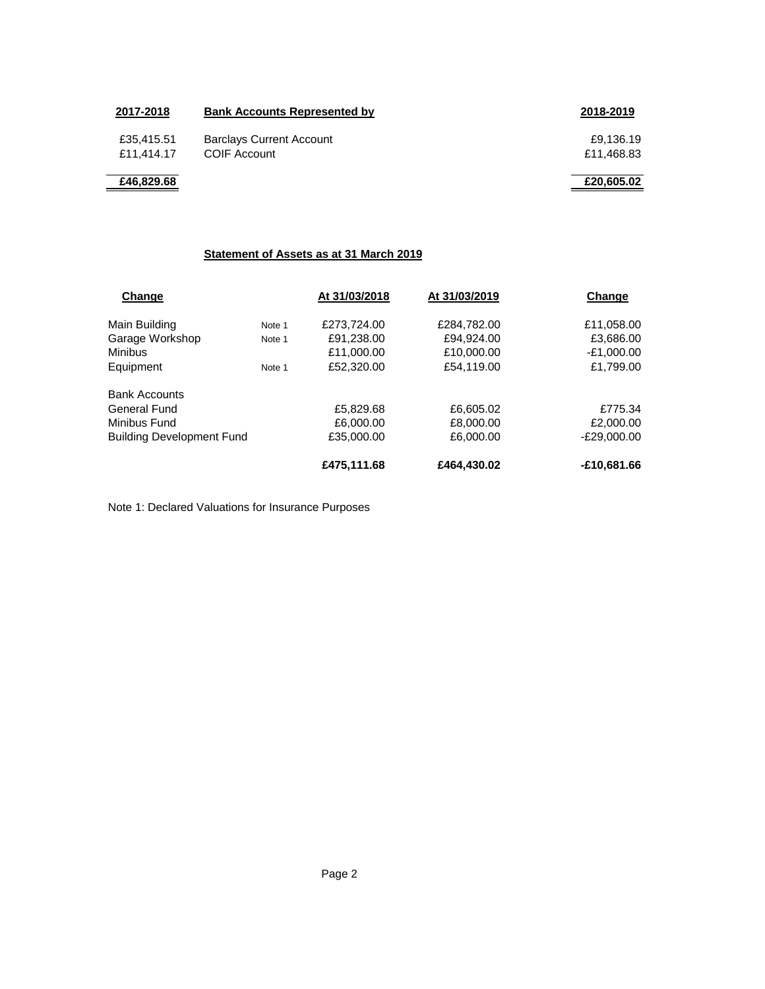| 2017-2018                | <b>Bank Accounts Represented by</b>             | 2018-2019               |
|--------------------------|-------------------------------------------------|-------------------------|
| £35,415.51<br>£11.414.17 | <b>Barclays Current Account</b><br>COIF Account | £9,136.19<br>£11,468.83 |
| £46,829.68               |                                                 | £20,605.02              |

### **Statement of Assets as at 31 March 2019**

|                                  | At 31/03/2018 | At 31/03/2019           | Change        |
|----------------------------------|---------------|-------------------------|---------------|
| Note 1                           | £273,724.00   | £284,782.00             | £11,058.00    |
| Note 1                           | £91,238.00    | £94,924.00              | £3,686.00     |
|                                  | £11,000.00    | £10,000.00              | $-E1,000.00$  |
| Note 1                           | £52,320.00    | £54,119.00              | £1,799.00     |
|                                  |               |                         |               |
|                                  | £5,829.68     | £6,605.02               | £775.34       |
| Minibus Fund                     |               | £8,000.00               | £2,000.00     |
| <b>Building Development Fund</b> |               | £6,000.00               | $-E29,000.00$ |
|                                  | £475,111.68   | £464,430.02             | -£10,681.66   |
|                                  |               | £6,000,00<br>£35,000.00 |               |

Note 1: Declared Valuations for Insurance Purposes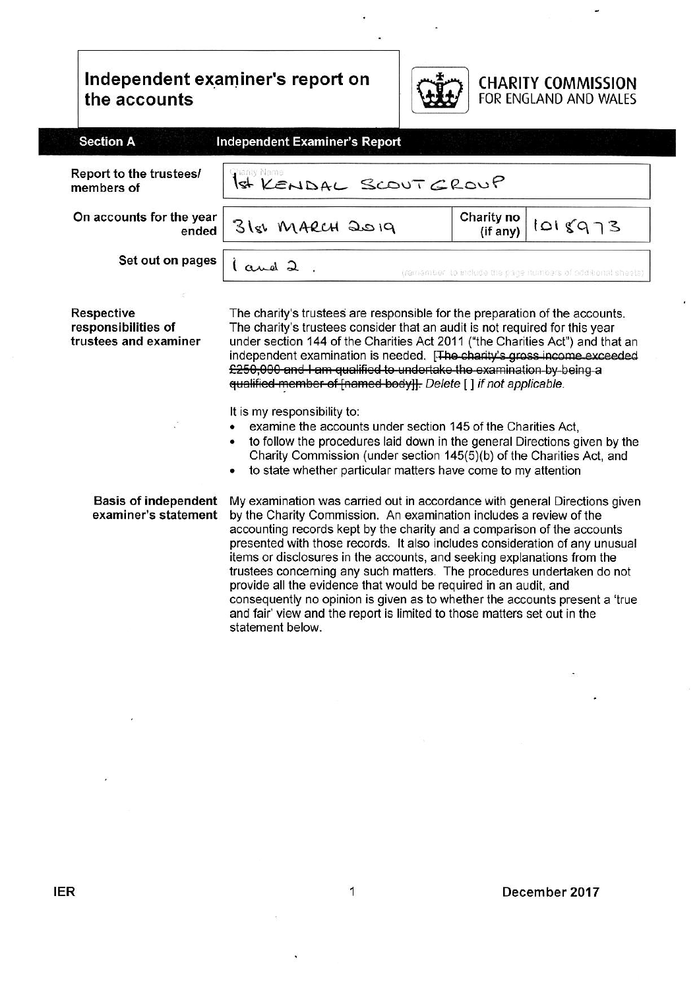# Independent examiner's report on the accounts



# **CHARITY COMMISSION**<br>FOR ENGLAND AND WALES

| <b>Section A</b>                                                  | <b>Independent Examiner's Report</b>                                                                                                                                                                                                                                                                                                                                                                                                                                                                                                                                                                                                                                                           |                        |                                                              |
|-------------------------------------------------------------------|------------------------------------------------------------------------------------------------------------------------------------------------------------------------------------------------------------------------------------------------------------------------------------------------------------------------------------------------------------------------------------------------------------------------------------------------------------------------------------------------------------------------------------------------------------------------------------------------------------------------------------------------------------------------------------------------|------------------------|--------------------------------------------------------------|
| Report to the trustees/<br>members of                             | Prarity Name<br>1st KENDAL SCOUTGROUP                                                                                                                                                                                                                                                                                                                                                                                                                                                                                                                                                                                                                                                          |                        |                                                              |
| On accounts for the year<br>ended                                 | 31st MARCH 2019                                                                                                                                                                                                                                                                                                                                                                                                                                                                                                                                                                                                                                                                                | Charity no<br>(if any) | 1018973                                                      |
| Set out on pages                                                  | l and 2                                                                                                                                                                                                                                                                                                                                                                                                                                                                                                                                                                                                                                                                                        |                        | (remember, to include the page manoers of additional sheets) |
| <b>Respective</b><br>responsibilities of<br>trustees and examiner | The charity's trustees are responsible for the preparation of the accounts.<br>The charity's trustees consider that an audit is not required for this year<br>under section 144 of the Charities Act 2011 ("the Charities Act") and that an<br>independent examination is needed. [The charity's gross income exceeded<br>£250,000 and I am qualified to undertake the examination by being a<br>qualified-member-of-[named-body]]. Delete [] if not applicable.                                                                                                                                                                                                                               |                        |                                                              |
|                                                                   | It is my responsibility to:<br>examine the accounts under section 145 of the Charities Act,<br>to follow the procedures laid down in the general Directions given by the<br>Charity Commission (under section 145(5)(b) of the Charities Act, and<br>to state whether particular matters have come to my attention                                                                                                                                                                                                                                                                                                                                                                             |                        |                                                              |
| <b>Basis of independent</b><br>examiner's statement               | My examination was carried out in accordance with general Directions given<br>by the Charity Commission. An examination includes a review of the<br>accounting records kept by the charity and a comparison of the accounts<br>presented with those records. It also includes consideration of any unusual<br>items or disclosures in the accounts, and seeking explanations from the<br>trustees concerning any such matters. The procedures undertaken do not<br>provide all the evidence that would be required in an audit, and<br>consequently no opinion is given as to whether the accounts present a 'true<br>and fair' view and the report is limited to those matters set out in the |                        |                                                              |

statement below.